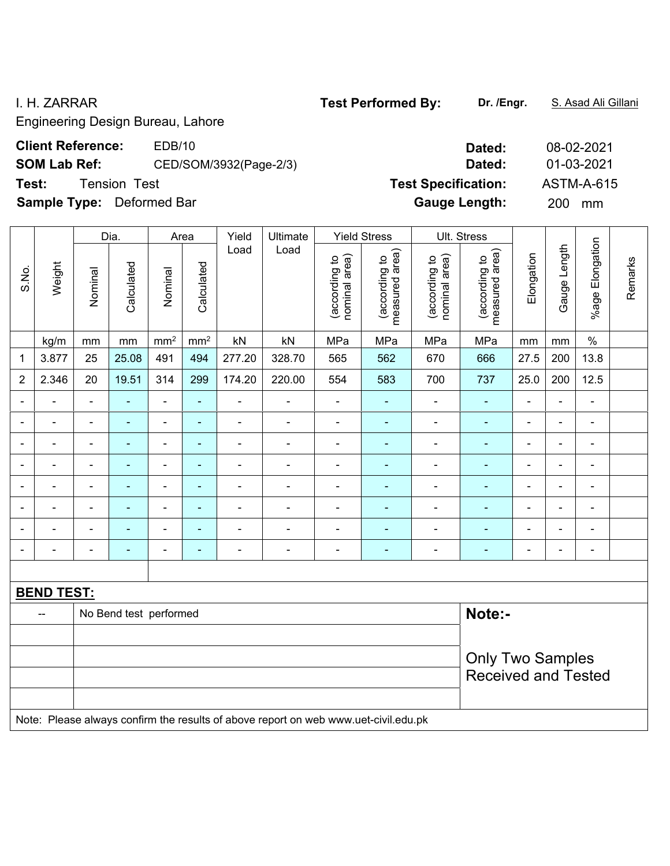Engineering Design Bureau, Lahore

### **Client Reference:** EDB/10

# **SOM Lab Ref:** CED/SOM/3932(Page-2/3)

**Test:** Tension Test **Test Specification: Test Specification: Test** 

**Sample Type:** Deformed Bar

|                |                   |                            | Dia.                   |                | Area            | Yield          | <b>Yield Stress</b><br>Ult. Stress<br>Ultimate                                      |                                |                                 |                                |                                    |                          |                              |                              |         |
|----------------|-------------------|----------------------------|------------------------|----------------|-----------------|----------------|-------------------------------------------------------------------------------------|--------------------------------|---------------------------------|--------------------------------|------------------------------------|--------------------------|------------------------------|------------------------------|---------|
| S.No.          | Weight            | Nominal                    | Calculated             | Nominal        | Calculated      | Load           | Load                                                                                | nominal area)<br>(according to | measured area)<br>(according to | nominal area)<br>(according to | area)<br>(according to<br>measured | Elongation               | Gauge Length                 | %age Elongation              | Remarks |
|                | kg/m              | mm                         | mm                     | $\text{mm}^2$  | mm <sup>2</sup> | kN             | kN                                                                                  | MPa                            | MPa                             | MPa                            | MPa                                | mm                       | $\,mm$                       | $\%$                         |         |
| 1              | 3.877             | 25                         | 25.08                  | 491            | 494             | 277.20         | 328.70                                                                              | 565                            | 562                             | 670                            | 666                                | 27.5                     | 200                          | 13.8                         |         |
| $\overline{2}$ | 2.346             | 20                         | 19.51                  | 314            | 299             | 174.20         | 220.00                                                                              | 554                            | 583                             | 700                            | 737                                | 25.0                     | 200                          | 12.5                         |         |
| ä,             | $\blacksquare$    | $\blacksquare$             | $\blacksquare$         | $\blacksquare$ | $\blacksquare$  | $\blacksquare$ | $\blacksquare$                                                                      | $\blacksquare$                 | Ξ                               | $\blacksquare$                 | $\blacksquare$                     | $\blacksquare$           | $\blacksquare$               | $\blacksquare$               |         |
|                | $\blacksquare$    | $\blacksquare$             | $\blacksquare$         | $\blacksquare$ | $\blacksquare$  | $\blacksquare$ | $\blacksquare$                                                                      | $\blacksquare$                 | Ξ                               | $\qquad \qquad \blacksquare$   | $\blacksquare$                     | $\blacksquare$           | ä,                           | $\blacksquare$               |         |
|                |                   | $\blacksquare$             | $\blacksquare$         | $\blacksquare$ | ä,              |                | $\overline{\phantom{a}}$                                                            | $\blacksquare$                 | -                               | Ē,                             | $\blacksquare$                     |                          | $\blacksquare$               | -                            |         |
|                |                   |                            | $\blacksquare$         | $\blacksquare$ | $\overline{a}$  |                | $\blacksquare$                                                                      |                                | ۳                               | $\blacksquare$                 | $\blacksquare$                     |                          | $\overline{\phantom{0}}$     | $\blacksquare$               |         |
|                |                   | $\blacksquare$             |                        | $\blacksquare$ | ÷               |                | $\blacksquare$                                                                      |                                |                                 |                                |                                    |                          | $\blacksquare$               | $\blacksquare$               |         |
| -              |                   | $\overline{a}$             | $\blacksquare$         | $\blacksquare$ | $\blacksquare$  | $\blacksquare$ | ÷                                                                                   | $\blacksquare$                 | ۰                               | ÷                              | ÷                                  | $\blacksquare$           | $\overline{a}$               | -                            |         |
| $\blacksquare$ | $\blacksquare$    | $\blacksquare$             | $\blacksquare$         | $\blacksquare$ | $\blacksquare$  | $\blacksquare$ | $\blacksquare$                                                                      | $\blacksquare$                 | ٠                               | ÷                              | ÷                                  | $\blacksquare$           | $\blacksquare$               | $\blacksquare$               |         |
|                |                   | $\blacksquare$             | $\blacksquare$         | $\blacksquare$ | $\blacksquare$  | $\blacksquare$ | -                                                                                   | $\qquad \qquad \blacksquare$   | $\overline{\phantom{0}}$        | $\overline{\phantom{a}}$       | $\blacksquare$                     | $\overline{\phantom{0}}$ | $\qquad \qquad \blacksquare$ | $\qquad \qquad \blacksquare$ |         |
|                |                   |                            |                        |                |                 |                |                                                                                     |                                |                                 |                                |                                    |                          |                              |                              |         |
|                | <b>BEND TEST:</b> |                            |                        |                |                 |                |                                                                                     |                                |                                 |                                |                                    |                          |                              |                              |         |
|                |                   |                            | No Bend test performed |                |                 |                |                                                                                     |                                |                                 |                                | Note:-                             |                          |                              |                              |         |
|                |                   |                            |                        |                |                 |                |                                                                                     |                                |                                 |                                |                                    |                          |                              |                              |         |
|                |                   |                            |                        |                |                 |                |                                                                                     |                                |                                 |                                | <b>Only Two Samples</b>            |                          |                              |                              |         |
|                |                   | <b>Received and Tested</b> |                        |                |                 |                |                                                                                     |                                |                                 |                                |                                    |                          |                              |                              |         |
|                |                   |                            |                        |                |                 |                |                                                                                     |                                |                                 |                                |                                    |                          |                              |                              |         |
|                |                   |                            |                        |                |                 |                | Note: Please always confirm the results of above report on web www.uet-civil.edu.pk |                                |                                 |                                |                                    |                          |                              |                              |         |

#### I. H. ZARRAR **Test Performed By: Dr. /Engr.** S. Asad Ali Gillani

| 08-02-2021        |
|-------------------|
| 01-03-2021        |
| <b>ASTM-A-615</b> |
| 200<br>mm         |
|                   |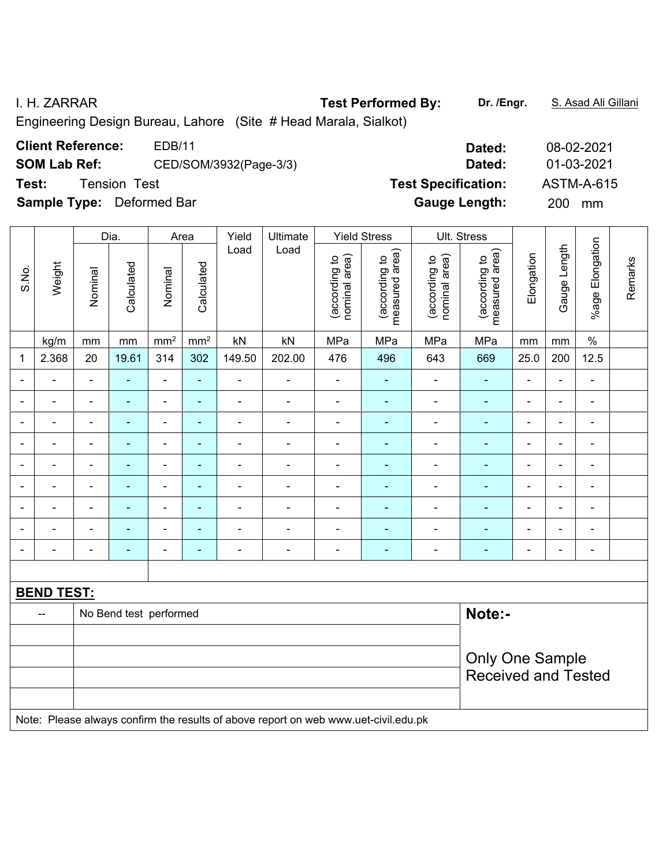I. H. ZARRAR **Test Performed By: Dr. /Engr.** S. Asad Ali Gillani

Engineering Design Bureau, Lahore (Site # Head Marala, Sialkot)

| <b>Client Reference:</b> | EDB/11                 |
|--------------------------|------------------------|
| <b>SOM Lab Ref:</b>      | CED/SOM/3932(Page-3/3) |
|                          |                        |

**Test:** Tension Test **Test Specification:** ASTM-A-615

**Sample Type:** Deformed Bar **Gauge Length:** 200 mm

|                |                          |                          | Dia.                     | Area                     |                          | Yield          | Ultimate                                                                            |                                | <b>Yield Stress</b>             |                                | Ult. Stress                     |                          |                          |                 |         |  |
|----------------|--------------------------|--------------------------|--------------------------|--------------------------|--------------------------|----------------|-------------------------------------------------------------------------------------|--------------------------------|---------------------------------|--------------------------------|---------------------------------|--------------------------|--------------------------|-----------------|---------|--|
| S.No.          | Weight                   | Nominal                  | Calculated               | Nominal                  | Calculated               | Load           | Load                                                                                | nominal area)<br>(according to | measured area)<br>(according to | (according to<br>nominal area) | measured area)<br>(according to | Elongation               | Gauge Length             | %age Elongation | Remarks |  |
|                | kg/m                     | mm                       | mm                       | mm <sup>2</sup>          | mm <sup>2</sup>          | kN             | kN                                                                                  | MPa                            | MPa                             | MPa                            | MPa                             | mm                       | mm                       | $\%$            |         |  |
| 1              | 2.368                    | 20                       | 19.61                    | 314                      | 302                      | 149.50         | 202.00                                                                              | 476                            | 496                             | 643                            | 669                             | 25.0                     | 200                      | 12.5            |         |  |
|                |                          | $\overline{\phantom{a}}$ |                          | $\blacksquare$           | $\blacksquare$           | $\blacksquare$ | $\blacksquare$                                                                      | $\blacksquare$                 | $\blacksquare$                  | $\blacksquare$                 | $\blacksquare$                  | Ē,                       | $\blacksquare$           | $\blacksquare$  |         |  |
| $\blacksquare$ | $\blacksquare$           | $\blacksquare$           | $\blacksquare$           | ۰                        | $\blacksquare$           | $\blacksquare$ | $\blacksquare$                                                                      | $\overline{\phantom{a}}$       | $\blacksquare$                  | $\overline{\phantom{a}}$       | $\blacksquare$                  | $\overline{a}$           | $\overline{\phantom{a}}$ | $\blacksquare$  |         |  |
| $\blacksquare$ | $\blacksquare$           | $\blacksquare$           | ÷,                       | $\blacksquare$           | ÷,                       | $\blacksquare$ | $\blacksquare$                                                                      | ÷,                             | $\blacksquare$                  | $\overline{\phantom{a}}$       | $\blacksquare$                  | $\blacksquare$           | ÷,                       | $\blacksquare$  |         |  |
| ٠              | $\blacksquare$           | $\blacksquare$           | ÷                        | $\overline{\phantom{a}}$ | $\blacksquare$           | $\blacksquare$ | $\blacksquare$                                                                      | $\blacksquare$                 | $\blacksquare$                  | $\blacksquare$                 | $\blacksquare$                  | $\overline{\phantom{a}}$ | $\blacksquare$           | $\blacksquare$  |         |  |
| ۰              | $\blacksquare$           | $\blacksquare$           | ÷,                       | ÷,                       | $\blacksquare$           | $\blacksquare$ | $\blacksquare$                                                                      | ÷,                             | $\blacksquare$                  | $\blacksquare$                 | $\blacksquare$                  | L,                       | $\blacksquare$           | $\blacksquare$  |         |  |
|                | $\blacksquare$           | $\overline{a}$           | $\blacksquare$           | $\blacksquare$           | ä,                       | $\blacksquare$ | $\blacksquare$                                                                      | ä,                             | $\blacksquare$                  | $\blacksquare$                 | $\blacksquare$                  | $\blacksquare$           | $\blacksquare$           | $\blacksquare$  |         |  |
|                |                          |                          | ۰                        | $\overline{\phantom{0}}$ |                          | -              |                                                                                     | $\blacksquare$                 |                                 |                                | $\blacksquare$                  |                          | $\blacksquare$           | $\blacksquare$  |         |  |
|                |                          |                          | $\blacksquare$           | $\blacksquare$           |                          | -              |                                                                                     | -                              |                                 |                                | ÷                               | Ē,                       |                          | $\blacksquare$  |         |  |
| $\blacksquare$ | $\overline{\phantom{a}}$ | $\blacksquare$           | $\overline{\phantom{0}}$ | ۰                        | $\overline{\phantom{0}}$ | $\blacksquare$ | $\overline{\phantom{0}}$                                                            | -                              | $\blacksquare$                  | $\blacksquare$                 | $\overline{\phantom{0}}$        | $\blacksquare$           | $\blacksquare$           | $\blacksquare$  |         |  |
|                |                          |                          |                          |                          |                          |                |                                                                                     |                                |                                 |                                |                                 |                          |                          |                 |         |  |
|                | <b>BEND TEST:</b>        |                          |                          |                          |                          |                |                                                                                     |                                |                                 |                                |                                 |                          |                          |                 |         |  |
|                | $\overline{a}$           |                          | No Bend test performed   |                          |                          |                |                                                                                     |                                |                                 |                                | Note:-                          |                          |                          |                 |         |  |
|                |                          |                          |                          |                          |                          |                |                                                                                     |                                |                                 |                                |                                 |                          |                          |                 |         |  |
|                |                          |                          |                          |                          |                          |                | <b>Only One Sample</b>                                                              |                                |                                 |                                |                                 |                          |                          |                 |         |  |
|                |                          |                          |                          |                          |                          |                |                                                                                     |                                |                                 |                                | <b>Received and Tested</b>      |                          |                          |                 |         |  |
|                |                          |                          |                          |                          |                          |                | Note: Please always confirm the results of above report on web www.uet-civil.edu.pk |                                |                                 |                                |                                 |                          |                          |                 |         |  |

**Client Reference:** EDB/11 **Dated:** 08-02-2021 **SOM Lab Ref:** CED/SOM/3932(Page-3/3) **Dated:** 01-03-2021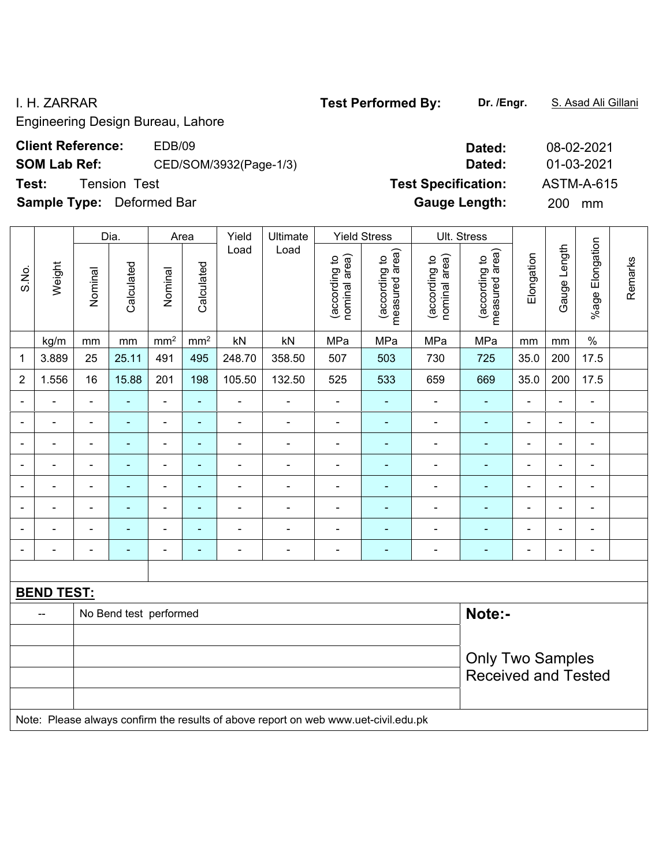Engineering Design Bureau, Lahore

# **Client Reference:** EDB/09 **Dated:** 08-02-2021

# **SOM Lab Ref:** CED/SOM/3932(Page-1/3) **Dated:** 01-03-2021

**Test:** Tension Test **Test Specification:** ASTM-A-615

**Sample Type:** Deformed Bar **Gauge Length:** 200 mm

|                  |                   |                            | Dia.                   | Area           |                          | Yield          | Ultimate                                                                            |                                | <b>Yield Stress</b>             |                                | Ult. Stress                        |                |                          |                          |         |
|------------------|-------------------|----------------------------|------------------------|----------------|--------------------------|----------------|-------------------------------------------------------------------------------------|--------------------------------|---------------------------------|--------------------------------|------------------------------------|----------------|--------------------------|--------------------------|---------|
| S.No.            | Weight            | Nominal                    | Calculated             | Nominal        | Calculated               | Load           | Load                                                                                | nominal area)<br>(according to | measured area)<br>(according to | nominal area)<br>(according to | area)<br>(according to<br>measured | Elongation     | Gauge Length             | %age Elongation          | Remarks |
|                  | kg/m              | mm                         | mm                     | $\rm mm^2$     | $\text{mm}^2$            | kN             | kN                                                                                  | MPa                            | MPa                             | MPa                            | MPa                                | mm             | $\,mm$                   | $\%$                     |         |
| $\mathbf 1$      | 3.889             | 25                         | 25.11                  | 491            | 495                      | 248.70         | 358.50                                                                              | 507                            | 503                             | 730                            | 725                                | 35.0           | 200                      | 17.5                     |         |
| $\boldsymbol{2}$ | 1.556             | 16                         | 15.88                  | 201            | 198                      | 105.50         | 132.50                                                                              | 525                            | 533                             | 659                            | 669                                | 35.0           | 200                      | 17.5                     |         |
|                  | $\blacksquare$    | $\blacksquare$             | ÷,                     | $\blacksquare$ | $\blacksquare$           | $\blacksquare$ | $\overline{\phantom{a}}$                                                            | $\blacksquare$                 | ٠                               | $\blacksquare$                 | ÷                                  | $\blacksquare$ | $\blacksquare$           | $\blacksquare$           |         |
|                  |                   | $\blacksquare$             | ÷,                     | $\blacksquare$ | $\blacksquare$           | $\blacksquare$ | $\blacksquare$                                                                      | $\blacksquare$                 | $\blacksquare$                  | ÷                              | ÷                                  | $\blacksquare$ | ä,                       | $\blacksquare$           |         |
|                  |                   | $\blacksquare$             | $\blacksquare$         | $\blacksquare$ | ۰                        | $\blacksquare$ | $\blacksquare$                                                                      | $\blacksquare$                 | ۰                               | ä,                             | $\blacksquare$                     |                | $\blacksquare$           | $\blacksquare$           |         |
|                  |                   |                            | $\blacksquare$         | $\blacksquare$ | $\overline{\phantom{a}}$ |                | $\blacksquare$                                                                      |                                | ۰                               | ۰                              | $\blacksquare$                     |                | $\blacksquare$           | ۰                        |         |
| -                |                   | Ē,                         | ۰                      | ä,             | ä,                       |                | ÷                                                                                   |                                | ÷,                              |                                |                                    | $\blacksquare$ | $\blacksquare$           | -                        |         |
|                  |                   | $\blacksquare$             | $\blacksquare$         | $\blacksquare$ | $\blacksquare$           | $\blacksquare$ | ÷                                                                                   | $\blacksquare$                 | ۰                               | ÷                              | ÷                                  | $\blacksquare$ | $\blacksquare$           | -                        |         |
| $\blacksquare$   | ä,                | $\blacksquare$             | ä,                     | $\blacksquare$ | ÷,                       | $\blacksquare$ | $\overline{\phantom{a}}$                                                            | $\blacksquare$                 | ÷,                              | Ĭ.                             | $\blacksquare$                     | $\blacksquare$ | $\blacksquare$           | $\overline{\phantom{a}}$ |         |
|                  |                   | $\blacksquare$             | $\blacksquare$         | $\blacksquare$ | $\overline{\phantom{a}}$ | $\blacksquare$ | $\qquad \qquad \blacksquare$                                                        | $\overline{a}$                 | $\blacksquare$                  | $\overline{\phantom{a}}$       | ÷                                  | $\blacksquare$ | $\overline{\phantom{a}}$ | $\blacksquare$           |         |
|                  |                   |                            |                        |                |                          |                |                                                                                     |                                |                                 |                                |                                    |                |                          |                          |         |
|                  | <b>BEND TEST:</b> |                            |                        |                |                          |                |                                                                                     |                                |                                 |                                |                                    |                |                          |                          |         |
|                  |                   |                            | No Bend test performed |                |                          |                |                                                                                     |                                |                                 |                                | Note:-                             |                |                          |                          |         |
|                  |                   |                            |                        |                |                          |                |                                                                                     |                                |                                 |                                |                                    |                |                          |                          |         |
|                  |                   |                            |                        |                |                          |                |                                                                                     |                                |                                 |                                | <b>Only Two Samples</b>            |                |                          |                          |         |
|                  |                   | <b>Received and Tested</b> |                        |                |                          |                |                                                                                     |                                |                                 |                                |                                    |                |                          |                          |         |
|                  |                   |                            |                        |                |                          |                |                                                                                     |                                |                                 |                                |                                    |                |                          |                          |         |
|                  |                   |                            |                        |                |                          |                | Note: Please always confirm the results of above report on web www.uet-civil.edu.pk |                                |                                 |                                |                                    |                |                          |                          |         |

#### I. H. ZARRAR **Test Performed By: Dr. /Engr.** S. Asad Ali Gillani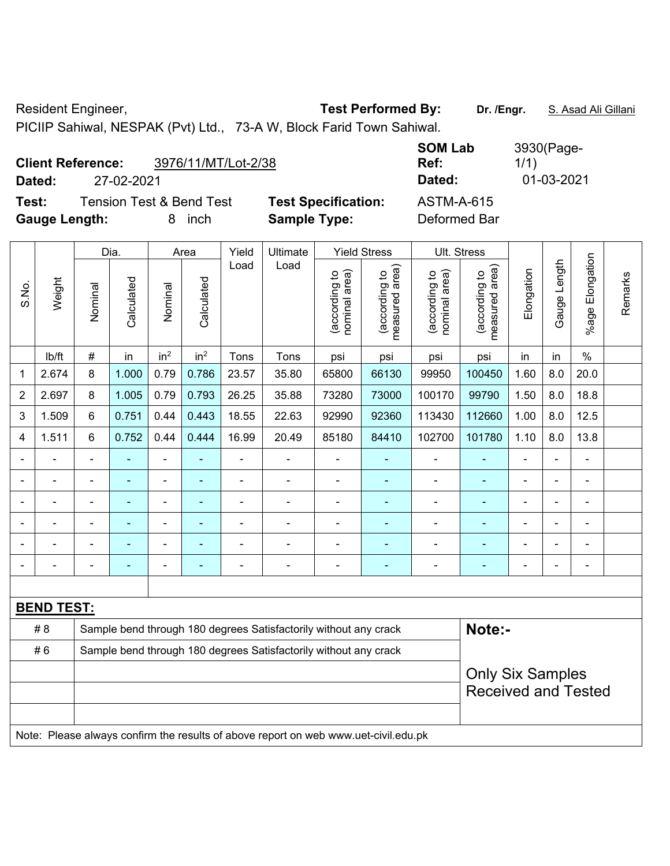Resident Engineer, **Test Performed By:** Dr. /Engr. **S. Asad Ali Gillani** 

PICIIP Sahiwal, NESPAK (Pvt) Ltd., 73-A W, Block Farid Town Sahiwal.

| <b>Client Reference:</b> |                                     | 3976/11/MT/Lot-2/38 |                            | <b>SOM Lab</b><br>Ref: | 3930(Page-<br>1/1) |
|--------------------------|-------------------------------------|---------------------|----------------------------|------------------------|--------------------|
| Dated:                   | 27-02-2021                          |                     |                            | Dated:                 | 01-03-2021         |
| Test:                    | <b>Tension Test &amp; Bend Test</b> |                     | <b>Test Specification:</b> | ASTM-A-615             |                    |
| <b>Gauge Length:</b>     |                                     | inch                | <b>Sample Type:</b>        | Deformed Bar           |                    |

|                |                   |                                                                  | Dia.       |                 | Area                    | Yield          | Ultimate                                                                            |                                | <b>Yield Stress</b>             |                                | Ult. Stress                     |                |                |                          |         |
|----------------|-------------------|------------------------------------------------------------------|------------|-----------------|-------------------------|----------------|-------------------------------------------------------------------------------------|--------------------------------|---------------------------------|--------------------------------|---------------------------------|----------------|----------------|--------------------------|---------|
| S.No.          | Weight            | Nominal                                                          | Calculated | Nominal         | Calculated              | Load           | Load                                                                                | nominal area)<br>(according to | (according to<br>measured area) | (according to<br>nominal area) | measured area)<br>(according to | Elongation     | Gauge Length   | %age Elongation          | Remarks |
|                | lb/ft             | $\#$                                                             | in         | in <sup>2</sup> | in <sup>2</sup>         | Tons           | Tons                                                                                | psi                            | psi                             | psi                            | psi                             | in             | in             | $\%$                     |         |
| 1              | 2.674             | $\bf 8$                                                          | 1.000      | 0.79            | 0.786                   | 23.57          | 35.80                                                                               | 65800                          | 66130                           | 99950                          | 100450                          | 1.60           | 8.0            | 20.0                     |         |
| $\overline{2}$ | 2.697             | 8                                                                | 1.005      | 0.79            | 0.793                   | 26.25          | 35.88                                                                               | 73280                          | 73000                           | 100170                         | 99790                           | 1.50           | 8.0            | 18.8                     |         |
| 3              | 1.509             | 6                                                                | 0.751      | 0.44            | 0.443                   | 18.55          | 22.63                                                                               | 92990                          | 92360                           | 113430                         | 112660                          | 1.00           | 8.0            | 12.5                     |         |
| 4              | 1.511             | 6                                                                | 0.752      | 0.44            | 0.444                   | 16.99          | 20.49                                                                               | 85180                          | 84410                           | 102700                         | 101780                          | 1.10           | 8.0            | 13.8                     |         |
|                |                   | $\blacksquare$                                                   | ÷,         | ÷,              | $\blacksquare$          | ä,             | ä,                                                                                  | $\blacksquare$                 | ÷                               | $\blacksquare$                 | Ξ                               | $\blacksquare$ | ä,             | $\blacksquare$           |         |
|                | $\blacksquare$    |                                                                  | L.         | $\blacksquare$  |                         | $\overline{a}$ | $\blacksquare$                                                                      | $\blacksquare$                 | ÷                               | $\blacksquare$                 | L.                              |                | L,             | $\blacksquare$           |         |
|                |                   |                                                                  |            | $\blacksquare$  |                         | -              | $\blacksquare$                                                                      | $\blacksquare$                 | ۰                               | $\blacksquare$                 | ۰                               |                | ÷              | $\blacksquare$           |         |
| $\blacksquare$ | $\blacksquare$    | $\blacksquare$                                                   | ۰          | ÷               | ÷                       | $\blacksquare$ | -                                                                                   | $\blacksquare$                 | ٠                               | $\blacksquare$                 | ۰                               | $\blacksquare$ | $\blacksquare$ | $\blacksquare$           |         |
|                | ä,                | ä,                                                               | ÷,         | ä,              | ÷                       | L,             | ä,                                                                                  | $\blacksquare$                 | $\blacksquare$                  | ä,                             | ÷                               | ä,             | $\blacksquare$ | ÷,                       |         |
|                | $\blacksquare$    | $\blacksquare$                                                   | ۰          | ÷               | $\overline{a}$          | $\blacksquare$ | ÷                                                                                   | $\blacksquare$                 | $\blacksquare$                  | $\blacksquare$                 | ۰                               | $\blacksquare$ | $\blacksquare$ | $\overline{\phantom{a}}$ |         |
|                |                   |                                                                  |            |                 |                         |                |                                                                                     |                                |                                 |                                |                                 |                |                |                          |         |
|                | <b>BEND TEST:</b> |                                                                  |            |                 |                         |                |                                                                                     |                                |                                 |                                |                                 |                |                |                          |         |
|                | # 8               |                                                                  |            |                 |                         |                | Sample bend through 180 degrees Satisfactorily without any crack                    |                                |                                 |                                | Note:-                          |                |                |                          |         |
|                | #6                | Sample bend through 180 degrees Satisfactorily without any crack |            |                 |                         |                |                                                                                     |                                |                                 |                                |                                 |                |                |                          |         |
|                |                   |                                                                  |            |                 | <b>Only Six Samples</b> |                |                                                                                     |                                |                                 |                                |                                 |                |                |                          |         |
|                |                   |                                                                  |            |                 |                         |                |                                                                                     |                                |                                 |                                | <b>Received and Tested</b>      |                |                |                          |         |
|                |                   |                                                                  |            |                 |                         |                |                                                                                     |                                |                                 |                                |                                 |                |                |                          |         |
|                |                   |                                                                  |            |                 |                         |                | Note: Please always confirm the results of above report on web www.uet-civil.edu.pk |                                |                                 |                                |                                 |                |                |                          |         |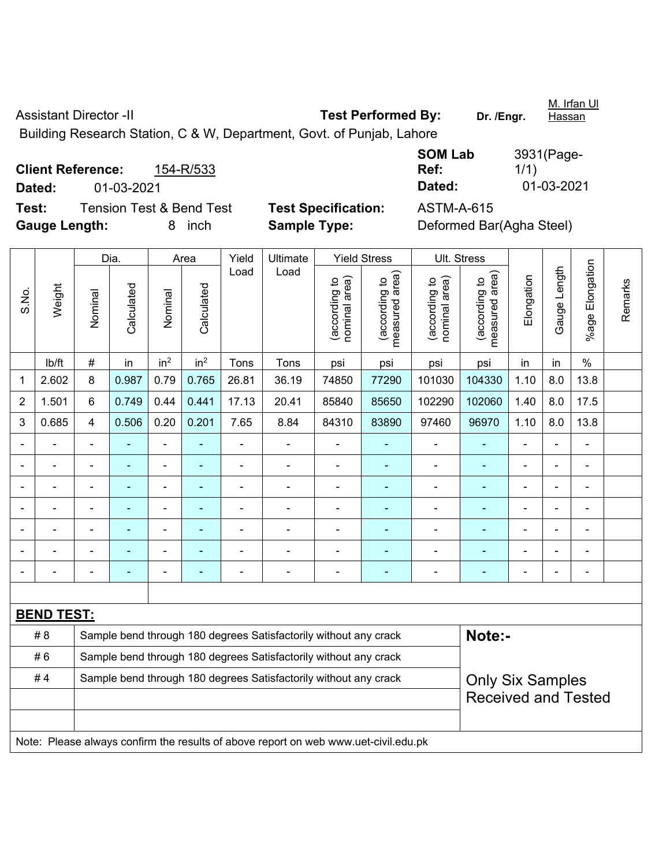| Assistant Director -II                                                | <b>Test Performed By:</b> | Dr. /Enar. | M. Irfan Ul<br><u>Hassan</u> |
|-----------------------------------------------------------------------|---------------------------|------------|------------------------------|
| Building Research Station, C & W, Department, Govt. of Punjab, Lahore |                           |            |                              |
|                                                                       | <b>SOM Lab</b>            |            | 3931 (Page-                  |

**Client Reference:** 154-R/533 **Dated:** 01-03-2021 **Dated:** 01-03-2021 **Test:** Tension Test & Bend Test **Test Specification:** ASTM-A-615 **Gauge Length:** 8 inch **Sample Type:** Deformed Bar(Agha Steel)

1/1)

**Ref:** 

|                              |                   |                | Dia.                                                             |                 | Area            | Yield          | Ultimate                                                                            |                                | <b>Yield Stress</b>                | Ult. Stress                    |                                 |                |                |                          |         |
|------------------------------|-------------------|----------------|------------------------------------------------------------------|-----------------|-----------------|----------------|-------------------------------------------------------------------------------------|--------------------------------|------------------------------------|--------------------------------|---------------------------------|----------------|----------------|--------------------------|---------|
| S.No.                        | Weight            | Nominal        | Calculated                                                       | Nominal         | Calculated      | Load           | Load                                                                                | (according to<br>nominal area) | area)<br>(according to<br>measured | (according to<br>nominal area) | measured area)<br>(according to | Elongation     | Gauge Length   | %age Elongation          | Remarks |
|                              | lb/ft             | $\#$           | in                                                               | in <sup>2</sup> | in <sup>2</sup> | Tons           | Tons                                                                                | psi                            | psi                                | psi                            | psi                             | in             | in             | $\%$                     |         |
| 1                            | 2.602             | 8              | 0.987                                                            | 0.79            | 0.765           | 26.81          | 36.19                                                                               | 74850                          | 77290                              | 101030                         | 104330                          | 1.10           | 8.0            | 13.8                     |         |
| $\overline{2}$               | 1.501             | 6              | 0.749                                                            | 0.44            | 0.441           | 17.13          | 20.41                                                                               | 85840                          | 85650                              | 102290                         | 102060                          | 1.40           | 8.0            | 17.5                     |         |
| 3                            | 0.685             | $\overline{4}$ | 0.506                                                            | 0.20            | 0.201           | 7.65           | 8.84                                                                                | 84310                          | 83890                              | 97460                          | 96970                           | 1.10           | 8.0            | 13.8                     |         |
| $\blacksquare$               |                   | $\blacksquare$ |                                                                  | $\blacksquare$  | ÷               | ä,             |                                                                                     | $\overline{\phantom{a}}$       |                                    | $\blacksquare$                 | ٠                               | $\blacksquare$ | $\blacksquare$ | $\blacksquare$           |         |
| $\qquad \qquad \blacksquare$ |                   | ä,             |                                                                  | $\blacksquare$  | ÷               | $\blacksquare$ |                                                                                     | ÷,                             | $\overline{\phantom{0}}$           | $\blacksquare$                 | $\overline{\phantom{0}}$        | $\blacksquare$ | $\blacksquare$ | $\blacksquare$           |         |
| $\blacksquare$               |                   | L,             | $\blacksquare$                                                   | $\blacksquare$  | ۰               | ä,             | $\blacksquare$                                                                      | $\blacksquare$                 | $\blacksquare$                     | $\blacksquare$                 | ۰                               | $\blacksquare$ | $\blacksquare$ | $\blacksquare$           |         |
| $\overline{a}$               | $\blacksquare$    |                | $\blacksquare$                                                   | $\blacksquare$  | $\blacksquare$  | $\blacksquare$ | $\blacksquare$                                                                      | ÷                              | $\blacksquare$                     | $\overline{a}$                 | ٠                               | $\blacksquare$ | $\blacksquare$ | $\overline{\phantom{a}}$ |         |
| $\blacksquare$               | ä,                | $\blacksquare$ | $\blacksquare$                                                   | ä,              | ÷               | $\blacksquare$ | $\blacksquare$                                                                      | ä,                             | $\blacksquare$                     | $\blacksquare$                 | ä,                              | $\blacksquare$ | ä,             | $\blacksquare$           |         |
| $\blacksquare$               | $\blacksquare$    | $\blacksquare$ | $\blacksquare$                                                   | $\blacksquare$  | ÷               | $\blacksquare$ | $\blacksquare$                                                                      | $\blacksquare$                 | $\blacksquare$                     | $\blacksquare$                 | ٠                               | $\blacksquare$ | $\blacksquare$ | $\blacksquare$           |         |
|                              |                   | $\blacksquare$ | ä,                                                               | ÷               | ÷,              | -              | $\blacksquare$                                                                      | ÷,                             | Ē,                                 | $\blacksquare$                 | ٠                               |                | $\blacksquare$ | $\overline{\phantom{a}}$ |         |
|                              |                   |                |                                                                  |                 |                 |                |                                                                                     |                                |                                    |                                |                                 |                |                |                          |         |
|                              | <b>BEND TEST:</b> |                |                                                                  |                 |                 |                |                                                                                     |                                |                                    |                                |                                 |                |                |                          |         |
|                              | #8                |                |                                                                  |                 |                 |                | Sample bend through 180 degrees Satisfactorily without any crack                    |                                |                                    |                                | Note:-                          |                |                |                          |         |
|                              | #6                |                |                                                                  |                 |                 |                | Sample bend through 180 degrees Satisfactorily without any crack                    |                                |                                    |                                |                                 |                |                |                          |         |
|                              | #4                |                | Sample bend through 180 degrees Satisfactorily without any crack |                 |                 |                | <b>Only Six Samples</b>                                                             |                                |                                    |                                |                                 |                |                |                          |         |
|                              |                   |                |                                                                  |                 |                 |                |                                                                                     |                                |                                    |                                | <b>Received and Tested</b>      |                |                |                          |         |
|                              |                   |                |                                                                  |                 |                 |                |                                                                                     |                                |                                    |                                |                                 |                |                |                          |         |
|                              |                   |                |                                                                  |                 |                 |                | Note: Please always confirm the results of above report on web www.uet-civil.edu.pk |                                |                                    |                                |                                 |                |                |                          |         |